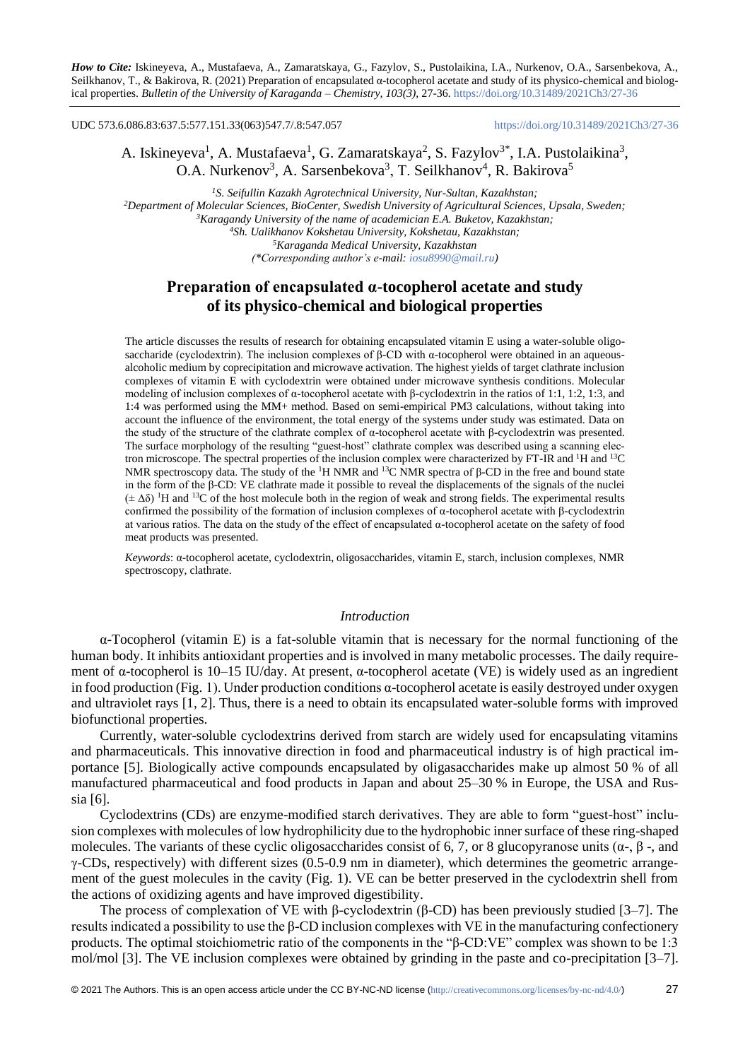UDC 573.6.086.83:637.5:577.151.33(063)547.7/.8:547.057 <https://doi.org/10.31489/2021Ch3/27-36>

# A. Iskineyeva<sup>1</sup>, A. Mustafaeva<sup>1</sup>, G. Zamaratskaya<sup>2</sup>, S. Fazylov<sup>3\*</sup>, I.A. Pustolaikina<sup>3</sup>, O.A. Nurkenov<sup>3</sup>, A. Sarsenbekova<sup>3</sup>, T. Seilkhanov<sup>4</sup>, R. Bakirova<sup>5</sup>

*S. Seifullin Kazakh Agrotechnical University, Nur-Sultan, Kazakhstan; Department of Molecular Sciences, BioCenter, Swedish University of Agricultural Sciences, Upsala, Sweden; Karagandy University of the name of academician E.A. Buketov, Kazakhstan; Sh. Ualikhanov Kokshetau University, Kokshetau, Kazakhstan; Karaganda Medical University, Kazakhstan (\*Corresponding author's e-mail: [iosu8990@mail.ru\)](mailto:iosu8990@mail.ru)*

# **Preparation of encapsulated α-tocopherol acetate and study of its physico-chemical and biological properties**

The article discusses the results of research for obtaining encapsulated vitamin E using a water-soluble oligosaccharide (cyclodextrin). The inclusion complexes of  $\beta$ -CD with  $\alpha$ -tocopherol were obtained in an aqueousalcoholic medium by coprecipitation and microwave activation. The highest yields of target clathrate inclusion complexes of vitamin E with cyclodextrin were obtained under microwave synthesis conditions. Molecular modeling of inclusion complexes of α-tocopherol acetate with β-cyclodextrin in the ratios of 1:1, 1:2, 1:3, and 1:4 was performed using the MM+ method. Based on semi-empirical PM3 calculations, without taking into account the influence of the environment, the total energy of the systems under study was estimated. Data on the study of the structure of the clathrate complex of α-tocopherol acetate with β-cyclodextrin was presented. The surface morphology of the resulting "guest-host" clathrate complex was described using a scanning electron microscope. The spectral properties of the inclusion complex were characterized by FT-IR and <sup>1</sup>H and <sup>13</sup>C NMR spectroscopy data. The study of the <sup>1</sup>H NMR and <sup>13</sup>C NMR spectra of β-CD in the free and bound state in the form of the β-CD: VE clathrate made it possible to reveal the displacements of the signals of the nuclei  $(\pm \Delta\delta)$ <sup>1</sup>H and <sup>13</sup>C of the host molecule both in the region of weak and strong fields. The experimental results confirmed the possibility of the formation of inclusion complexes of α-tocopherol acetate with β-cyclodextrin at various ratios. The data on the study of the effect of encapsulated α-tocopherol acetate on the safety of food meat products was presented.

*Keywords*: α-tocopherol acetate, cyclodextrin, oligosaccharides, vitamin E, starch, inclusion complexes, NMR spectroscopy, clathrate.

### *Introduction*

α-Tocopherol (vitamin E) is a fat-soluble vitamin that is necessary for the normal functioning of the human body. It inhibits antioxidant properties and is involved in many metabolic processes. The daily requirement of α-tocopherol is 10–15 IU/day. At present, α-tocopherol acetate (VE) is widely used as an ingredient in food production (Fig. 1). Under production conditions  $\alpha$ -tocopherol acetate is easily destroyed under oxygen and ultraviolet rays [1, 2]. Thus, there is a need to obtain its encapsulated water-soluble forms with improved biofunctional properties.

Currently, water-soluble cyclodextrins derived from starch are widely used for encapsulating vitamins and pharmaceuticals. This innovative direction in food and pharmaceutical industry is of high practical importance [5]. Biologically active compounds encapsulated by oligasaccharides make up almost 50 % of all manufactured pharmaceutical and food products in Japan and about 25–30 % in Europe, the USA and Russia [6].

Cyclodextrins (CDs) are enzyme-modified starch derivatives. They are able to form "guest-host" inclusion complexes with molecules of low hydrophilicity due to the hydrophobic inner surface of these ring-shaped molecules. The variants of these cyclic oligosaccharides consist of 6, 7, or 8 glucopyranose units ( $\alpha$ -,  $\beta$ -, and  $γ$ -CDs, respectively) with different sizes (0.5-0.9 nm in diameter), which determines the geometric arrangement of the guest molecules in the cavity (Fig. 1). VE can be better preserved in the cyclodextrin shell from the actions of oxidizing agents and have improved digestibility.

The process of complexation of VE with β-cyclodextrin (β-CD) has been previously studied [3–7]. The results indicated a possibility to use the β-CD inclusion complexes with VE in the manufacturing confectionery products. The optimal stoichiometric ratio of the components in the "β-CD:VE" complex was shown to be 1:3 mol/mol [3]. The VE inclusion complexes were obtained by grinding in the paste and co-precipitation [3–7].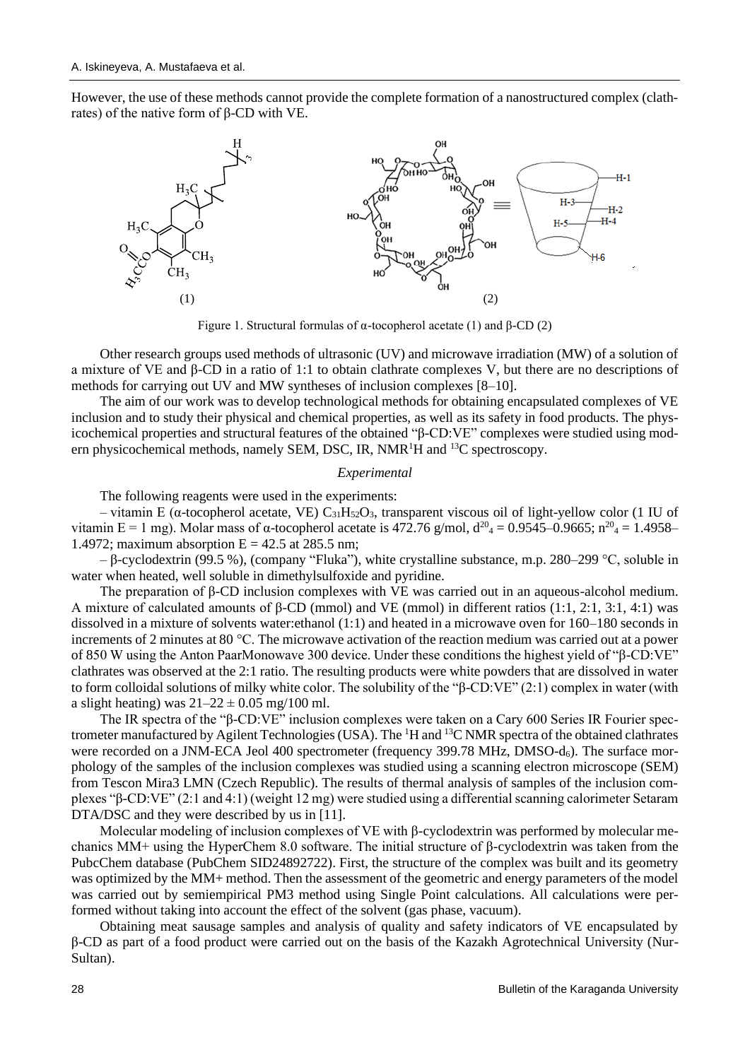However, the use of these methods cannot provide the complete formation of a nanostructured complex (clathrates) of the native form of β-CD with VE.



Figure 1. Structural formulas of α-tocopherol acetate (1) and β-CD (2)

Other research groups used methods of ultrasonic (UV) and microwave irradiation (MW) of a solution of a mixture of VE and β-CD in a ratio of 1:1 to obtain clathrate complexes V, but there are no descriptions of methods for carrying out UV and MW syntheses of inclusion complexes [8–10].

The aim of our work was to develop technological methods for obtaining encapsulated complexes of VE inclusion and to study their physical and chemical properties, as well as its safety in food products. The physicochemical properties and structural features of the obtained "β-CD:VE" complexes were studied using modern physicochemical methods, namely SEM, DSC, IR,  $NMR<sup>1</sup>H$  and <sup>13</sup>C spectroscopy.

### *Experimental*

The following reagents were used in the experiments:

– vitamin E (α-tocopherol acetate, VE)  $C_{31}H_{52}O_3$ , transparent viscous oil of light-yellow color (1 IU of vitamin E = 1 mg). Molar mass of α-tocopherol acetate is 472.76 g/mol,  $d^{20}$ <sub>4</sub> = 0.9545–0.9665; n<sup>20</sup><sub>4</sub> = 1.4958– 1.4972; maximum absorption  $E = 42.5$  at 285.5 nm;

– β-cyclodextrin (99.5 %), (company "Fluka"), white crystalline substance, m.p. 280–299 °C, soluble in water when heated, well soluble in dimethylsulfoxide and pyridine.

The preparation of β-CD inclusion complexes with VE was carried out in an aqueous-alcohol medium. A mixture of calculated amounts of β-CD (mmol) and VE (mmol) in different ratios (1:1, 2:1, 3:1, 4:1) was dissolved in a mixture of solvents water:ethanol (1:1) and heated in a microwave oven for 160–180 seconds in increments of 2 minutes at 80 °C. The microwave activation of the reaction medium was carried out at a power of 850 W using the Anton PaarMonowave 300 device. Under these conditions the highest yield of "β-CD:VE" clathrates was observed at the 2:1 ratio. The resulting products were white powders that are dissolved in water to form colloidal solutions of milky white color. The solubility of the "β-CD:VE" (2:1) complex in water (with a slight heating) was  $21-22 \pm 0.05$  mg/100 ml.

The IR spectra of the "β-CD:VE" inclusion complexes were taken on a Cary 600 Series IR Fourier spectrometer manufactured by Agilent Technologies (USA). The <sup>1</sup>H and <sup>13</sup>C NMR spectra of the obtained clathrates were recorded on a JNM-ECA Jeol 400 spectrometer (frequency 399.78 MHz, DMSO- $d_6$ ). The surface morphology of the samples of the inclusion complexes was studied using a scanning electron microscope (SEM) from Tescon Mira3 LMN (Czech Republic). The results of thermal analysis of samples of the inclusion complexes "β-CD:VE" (2:1 and 4:1) (weight 12 mg) were studied using a differential scanning calorimeter Setaram DTA/DSC and they were described by us in [11].

Molecular modeling of inclusion complexes of VE with β*-*cyclodextrin was performed by molecular mechanics MM+ using the HyperChem 8.0 software. The initial structure of β*-*cyclodextrin was taken from the PubcChem database (PubChem SID24892722). First, the structure of the complex was built and its geometry was optimized by the MM+ method. Then the assessment of the geometric and energy parameters of the model was carried out by semiempirical PM3 method using Single Point calculations. All calculations were performed without taking into account the effect of the solvent (gas phase, vacuum).

Obtaining meat sausage samples and analysis of quality and safety indicators of VE encapsulated by β-CD as part of a food product were carried out on the basis of the Kazakh Agrotechnical University (Nur-Sultan).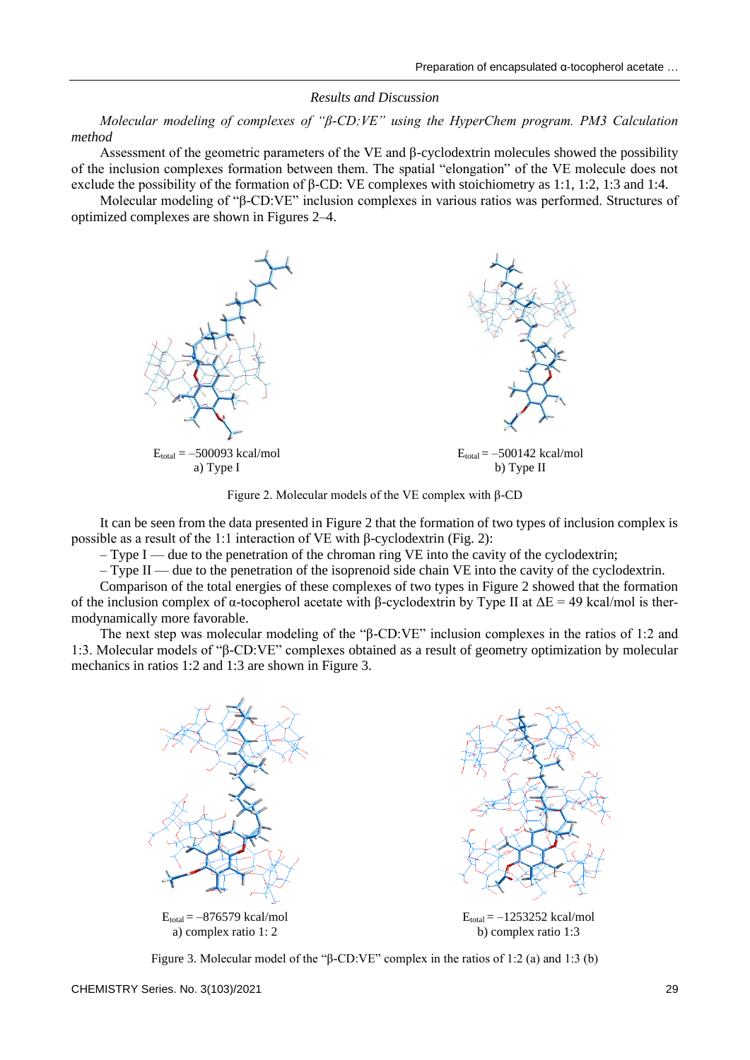#### *Results and Discussion*

*Molecular modeling of complexes of "β-CD:VE" using the HyperChem program. PM3 Calculation method*

Assessment of the geometric parameters of the VE and β*-*cyclodextrin molecules showed the possibility of the inclusion complexes formation between them. The spatial "elongation" of the VE molecule does not exclude the possibility of the formation of β-CD: VE complexes with stoichiometry as 1:1, 1:2, 1:3 and 1:4.

Molecular modeling of "β-CD:VE" inclusion complexes in various ratios was performed. Structures of optimized complexes are shown in Figures 2–4.



Figure 2. Molecular models of the VE complex with β-CD

It can be seen from the data presented in Figure 2 that the formation of two types of inclusion complex is possible as a result of the 1:1 interaction of VE with β-cyclodextrin (Fig. 2):

 $-$  Type I — due to the penetration of the chroman ring VE into the cavity of the cyclodextrin;

– Type II — due to the penetration of the isoprenoid side chain VE into the cavity of the cyclodextrin.

Comparison of the total energies of these complexes of two types in Figure 2 showed that the formation of the inclusion complex of α-tocopherol acetate with β-cyclodextrin by Type II at  $ΔE = 49$  kcal/mol is thermodynamically more favorable.

The next step was molecular modeling of the "β-CD:VE" inclusion complexes in the ratios of 1:2 and 1:3. Molecular models of "β-CD:VE" complexes obtained as a result of geometry optimization by molecular mechanics in ratios 1:2 and 1:3 are shown in Figure 3.



Figure 3. Molecular model of the "β-CD:VE" complex in the ratios of 1:2 (a) and 1:3 (b)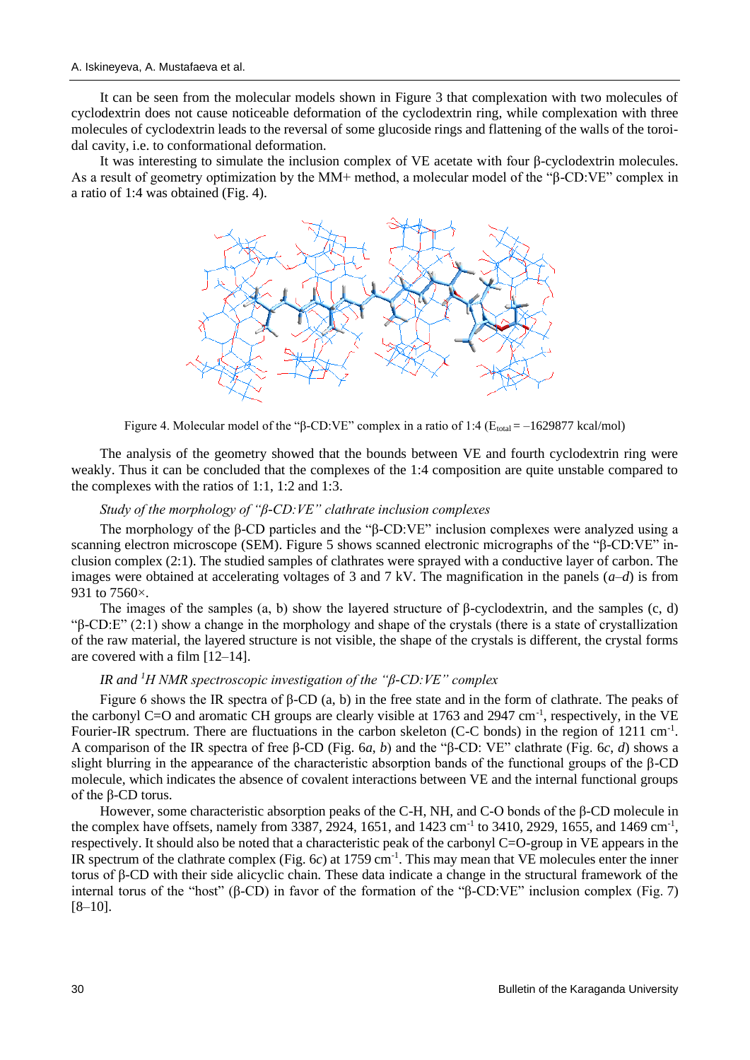It can be seen from the molecular models shown in Figure 3 that complexation with two molecules of cyclodextrin does not cause noticeable deformation of the cyclodextrin ring, while complexation with three molecules of cyclodextrin leads to the reversal of some glucoside rings and flattening of the walls of the toroidal cavity, i.e. to conformational deformation.

It was interesting to simulate the inclusion complex of VE acetate with four β-cyclodextrin molecules. As a result of geometry optimization by the MM+ method, a molecular model of the "β-CD:VE" complex in a ratio of 1:4 was obtained (Fig. 4).



Figure 4. Molecular model of the "β-CD:VE" complex in a ratio of 1:4 (E<sub>total</sub> = -1629877 kcal/mol)

The analysis of the geometry showed that the bounds between VE and fourth cyclodextrin ring were weakly. Thus it can be concluded that the complexes of the 1:4 composition are quite unstable compared to the complexes with the ratios of 1:1, 1:2 and 1:3.

### *Study of the morphology of "β-CD:VE" clathrate inclusion complexes*

The morphology of the β-CD particles and the "β-CD:VE" inclusion complexes were analyzed using a scanning electron microscope (SEM). Figure 5 shows scanned electronic micrographs of the "β-CD:VE" inclusion complex (2:1). The studied samples of clathrates were sprayed with a conductive layer of carbon. The images were obtained at accelerating voltages of 3 and 7 kV. The magnification in the panels  $(a-d)$  is from 931 to 7560 $\times$ .

The images of the samples (a, b) show the layered structure of β-cyclodextrin, and the samples (c, d) "β-CD:E" (2:1) show a change in the morphology and shape of the crystals (there is a state of crystallization of the raw material, the layered structure is not visible, the shape of the crystals is different, the crystal forms are covered with a film [12–14].

### *IR and <sup>1</sup>H NMR spectroscopic investigation of the "β-CD:VE" complex*

Figure 6 shows the IR spectra of β-CD (a, b) in the free state and in the form of clathrate. The peaks of the carbonyl C=O and aromatic CH groups are clearly visible at 1763 and 2947 cm<sup>-1</sup>, respectively, in the VE Fourier-IR spectrum. There are fluctuations in the carbon skeleton (C-C bonds) in the region of 1211 cm<sup>-1</sup>. A comparison of the IR spectra of free β-CD (Fig. 6*a*, *b*) and the "β-CD: VE" clathrate (Fig. 6*c*, *d*) shows a slight blurring in the appearance of the characteristic absorption bands of the functional groups of the β-CD molecule, which indicates the absence of covalent interactions between VE and the internal functional groups of the β-CD torus.

However, some characteristic absorption peaks of the C-H, NH, and C-O bonds of the β-CD molecule in the complex have offsets, namely from 3387, 2924, 1651, and 1423 cm<sup>-1</sup> to 3410, 2929, 1655, and 1469 cm<sup>-1</sup>, respectively. It should also be noted that a characteristic peak of the carbonyl C=O-group in VE appears in the IR spectrum of the clathrate complex (Fig.  $6c$ ) at 1759 cm<sup>-1</sup>. This may mean that VE molecules enter the inner torus of β-CD with their side alicyclic chain. These data indicate a change in the structural framework of the internal torus of the "host" (β-CD) in favor of the formation of the "β-CD:VE" inclusion complex (Fig. 7)  $[8-10]$ .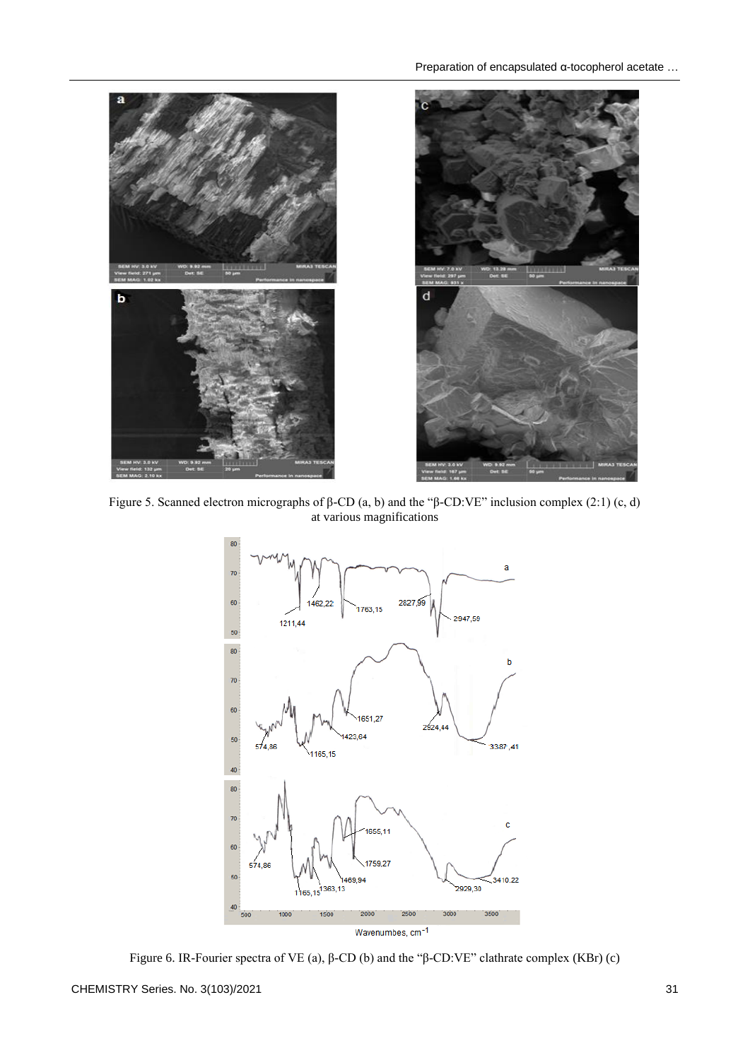

Figure 5. Scanned electron micrographs of β-CD (a, b) and the "β-CD:VE" inclusion complex (2:1) (c, d) at various magnifications



Figure 6. IR-Fourier spectra of VE (a), β-CD (b) and the "β-CD:VE" clathrate complex (KBr) (c)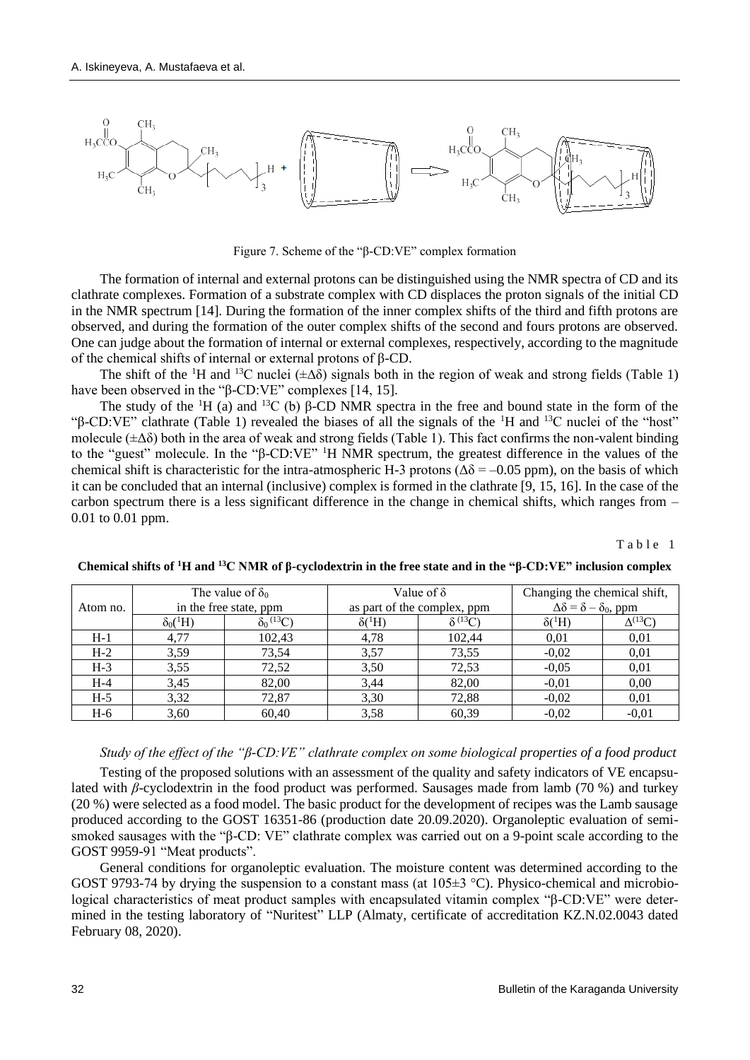

Figure 7. Scheme of the "β-CD:VE" complex formation

The formation of internal and external protons can be distinguished using the NMR spectra of CD and its clathrate complexes. Formation of a substrate complex with CD displaces the proton signals of the initial CD in the NMR spectrum [14]. During the formation of the inner complex shifts of the third and fifth protons are observed, and during the formation of the outer complex shifts of the second and fours protons are observed. One can judge about the formation of internal or external complexes, respectively, according to the magnitude of the chemical shifts of internal or external protons of β-CD.

The shift of the <sup>1</sup>H and <sup>13</sup>C nuclei ( $\pm \Delta \delta$ ) signals both in the region of weak and strong fields (Table 1) have been observed in the "β-CD:VE" complexes [14, 15].

The study of the <sup>1</sup>H (a) and <sup>13</sup>C (b) β-CD NMR spectra in the free and bound state in the form of the "β-CD:VE" clathrate (Table 1) revealed the biases of all the signals of the  ${}^{1}H$  and  ${}^{13}C$  nuclei of the "host" molecule  $(\pm \Delta \delta)$  both in the area of weak and strong fields (Table 1). This fact confirms the non-valent binding to the "guest" molecule. In the "β-CD:VE" <sup>1</sup>H NMR spectrum, the greatest difference in the values of the chemical shift is characteristic for the intra-atmospheric H-3 protons ( $\Delta\delta$  = –0.05 ppm), on the basis of which it can be concluded that an internal (inclusive) complex is formed in the clathrate [9, 15, 16]. In the case of the carbon spectrum there is a less significant difference in the change in chemical shifts, which ranges from – 0.01 to 0.01 ppm.

Table 1

| Atom no. | The value of $\delta_0$<br>in the free state, ppm |                      | Value of $\delta$<br>as part of the complex, ppm |                  | Changing the chemical shift,<br>$\Delta \delta = \delta - \delta_0$ , ppm |                  |
|----------|---------------------------------------------------|----------------------|--------------------------------------------------|------------------|---------------------------------------------------------------------------|------------------|
|          | $\delta_0({}^1H)$                                 | $\delta_0{}^{(13)}C$ | $\delta({}^{1}H)$                                | $\delta^{(13)}C$ | $\delta({}^1H)$                                                           | $\Delta^{(13)}C$ |
| $H-1$    | 4,77                                              | 102,43               | 4,78                                             | 102,44           | 0,01                                                                      | 0,01             |
| $H-2$    | 3,59                                              | 73,54                | 3,57                                             | 73,55            | $-0,02$                                                                   | 0,01             |
| $H-3$    | 3,55                                              | 72,52                | 3,50                                             | 72,53            | $-0,05$                                                                   | 0,01             |
| $H-4$    | 3,45                                              | 82,00                | 3,44                                             | 82,00            | $-0,01$                                                                   | 0,00             |
| $H-5$    | 3,32                                              | 72,87                | 3,30                                             | 72,88            | $-0,02$                                                                   | 0,01             |
| $H-6$    | 3,60                                              | 60,40                | 3,58                                             | 60,39            | $-0,02$                                                                   | $-0,01$          |

**Chemical shifts of <sup>1</sup>H and <sup>13</sup>C NMR of β-cyclodextrin in the free state and in the "β-CD:VE" inclusion complex**

### *Study of the effect of the "β-CD:VE" clathrate complex on some biological properties of a food product*

Testing of the proposed solutions with an assessment of the quality and safety indicators of VE encapsulated with *β*-cyclodextrin in the food product was performed. Sausages made from lamb (70 %) and turkey (20 %) were selected as a food model. The basic product for the development of recipes was the Lamb sausage produced according to the GOST 16351-86 (production date 20.09.2020). Organoleptic evaluation of semismoked sausages with the "β-CD: VE" clathrate complex was carried out on a 9-point scale according to the GOST 9959-91 "Meat products".

General conditions for organoleptic evaluation. The moisture content was determined according to the GOST 9793-74 by drying the suspension to a constant mass (at 105±3 °C). Physico-chemical and microbiological characteristics of meat product samples with encapsulated vitamin complex "β-CD:VE" were determined in the testing laboratory of "Nuritest" LLP (Almaty, certificate of accreditation KZ.N.02.0043 dated February 08, 2020).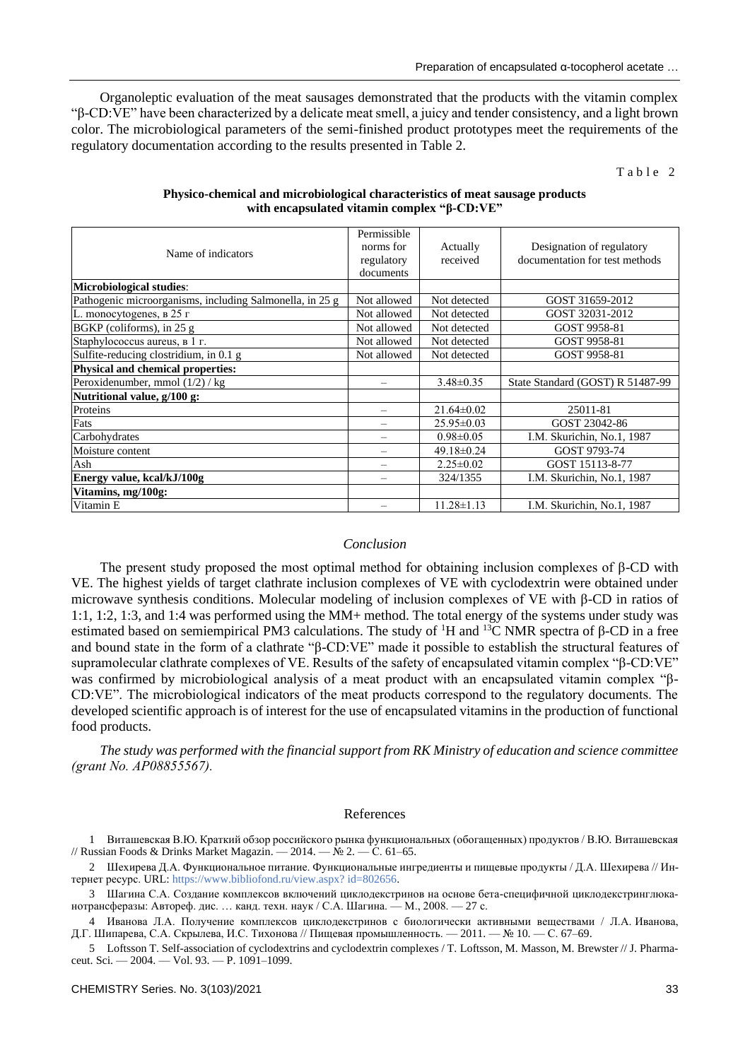Organoleptic evaluation of the meat sausages demonstrated that the products with the vitamin complex "β-CD:VE" have been characterized by a delicate meat smell, a juicy and tender consistency, and a light brown color. The microbiological parameters of the semi-finished product prototypes meet the requirements of the regulatory documentation according to the results presented in Table 2.

Table 2

| Name of indicators                                       | Permissible<br>norms for<br>regulatory<br>documents | Actually<br>received | Designation of regulatory<br>documentation for test methods |
|----------------------------------------------------------|-----------------------------------------------------|----------------------|-------------------------------------------------------------|
| <b>Microbiological studies:</b>                          |                                                     |                      |                                                             |
| Pathogenic microorganisms, including Salmonella, in 25 g | Not allowed                                         | Not detected         | GOST 31659-2012                                             |
| L. monocytogenes, в 25 г                                 | Not allowed                                         | Not detected         | GOST 32031-2012                                             |
| BGKP (coliforms), in $25 g$                              | Not allowed                                         | Not detected         | GOST 9958-81                                                |
| Staphylococcus aureus, в 1 г.                            | Not allowed                                         | Not detected         | GOST 9958-81                                                |
| Sulfite-reducing clostridium, in 0.1 g                   | Not allowed                                         | Not detected         | GOST 9958-81                                                |
| Physical and chemical properties:                        |                                                     |                      |                                                             |
| Peroxidenumber, mmol (1/2) / kg                          |                                                     | $3.48\pm0.35$        | State Standard (GOST) R 51487-99                            |
| Nutritional value, g/100 g:                              |                                                     |                      |                                                             |
| Proteins                                                 |                                                     | $21.64 \pm 0.02$     | 25011-81                                                    |
| Fats                                                     |                                                     | $25.95 \pm 0.03$     | GOST 23042-86                                               |
| Carbohydrates                                            |                                                     | $0.98 \pm 0.05$      | I.M. Skurichin, No.1, 1987                                  |
| Moisture content                                         |                                                     | $49.18 \pm 0.24$     | GOST 9793-74                                                |
| Ash                                                      | $\equiv$                                            | $2.25 \pm 0.02$      | GOST 15113-8-77                                             |
| Energy value, kcal/kJ/100g                               |                                                     | 324/1355             | I.M. Skurichin, No.1, 1987                                  |
| Vitamins, mg/100g:                                       |                                                     |                      |                                                             |
| Vitamin E                                                |                                                     | $11.28 \pm 1.13$     | I.M. Skurichin, No.1, 1987                                  |

#### **Physico-chemical and microbiological characteristics of meat sausage products with encapsulated vitamin complex "β-CD:VE"**

#### *Conclusion*

The present study proposed the most optimal method for obtaining inclusion complexes of  $\beta$ -CD with VE. The highest yields of target clathrate inclusion complexes of VE with cyclodextrin were obtained under microwave synthesis conditions. Molecular modeling of inclusion complexes of VE with β-CD in ratios of 1:1, 1:2, 1:3, and 1:4 was performed using the MM+ method. The total energy of the systems under study was estimated based on semiempirical PM3 calculations. The study of <sup>1</sup>H and <sup>13</sup>C NMR spectra of β-CD in a free and bound state in the form of a clathrate "β-CD:VE" made it possible to establish the structural features of supramolecular clathrate complexes of VE. Results of the safety of encapsulated vitamin complex "β-CD:VE" was confirmed by microbiological analysis of a meat product with an encapsulated vitamin complex "β-CD:VE". The microbiological indicators of the meat products correspond to the regulatory documents. The developed scientific approach is of interest for the use of encapsulated vitamins in the production of functional food products.

*The study was performed with the financial support from RK Ministry of education and science committee (grant No. АР08855567).*

#### References

1 Виташевская В.Ю*.* Краткий обзор российского рынка функциональных (обогащенных) продуктов / В.Ю*.* Виташевская // Russian Foods & Drinks Market Magazin. — 2014. —  $\dot{N}$  2. — C. 61–65.

2 Шехирева Д.А. Функциональное питание. Функциональные ингредиенты и пищевые продукты / Д.А. Шехирева // Интернет ресурс. URL: [https://www.bibliofond.ru/view.aspx?](https://www.bibliofond.ru/view.aspx?id=802656) id=802656.

3 Шагина С.А. Создание комплексов включений циклодекстринов на основе бета-специфичной циклодекстринглюканотрансферазы: Автореф. дис. … канд. техн. наук / С.А. Шагина. — М., 2008. — 27 с.

4 Иванова Л.А. Получение комплексов циклодекстринов с биологически активными веществами / Л.А. Иванова, Д.Г. Шипарева, С.А. Скрылева, И.С. Тихонова // Пищевая промышленность. — 2011. — № 10. — С. 67–69.

5 Loftsson T. Self-association of cyclodextrins and cyclodextrin complexes / T. Loftsson, M. Masson, M. Brewster // J. Pharmaceut. Sci. — 2004. — Vol. 93. — P. 1091–1099.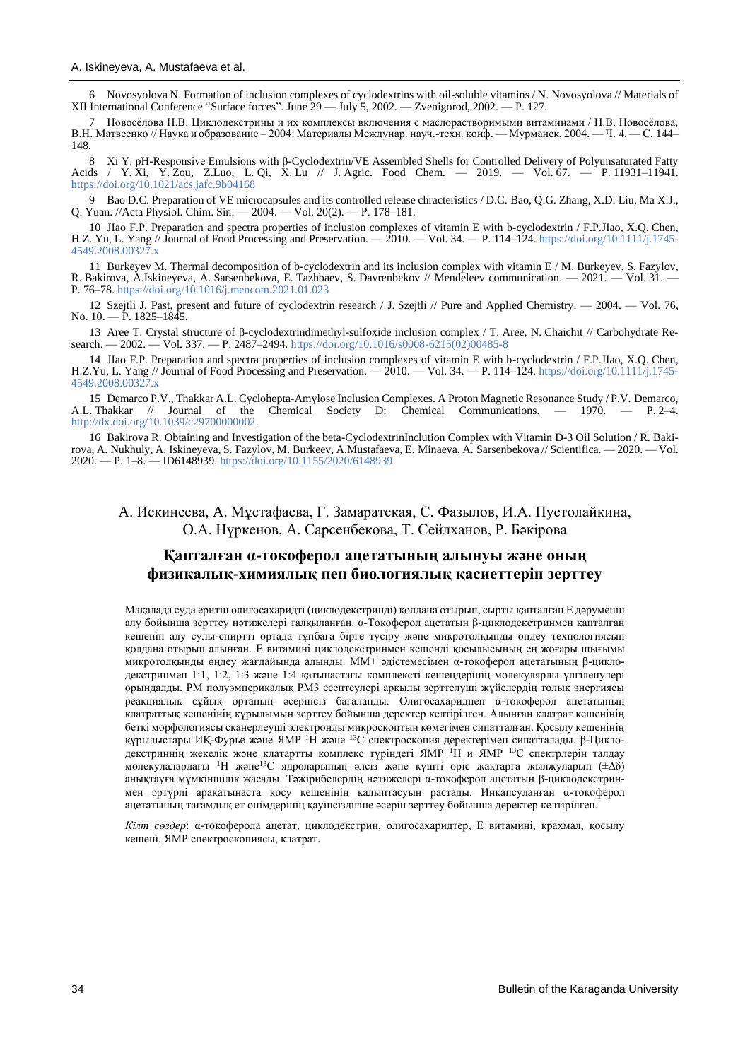6 Novosyolova N. Formation of inclusion complexes of cyclodextrins with oil-soluble vitamins / N. Novosyolova // Materials of XII International Conference "Surface forces". June 29 — July 5, 2002. — Zvenigorod, 2002. — P. 127.

7 Новосёлова Н.В. Циклодекстрины и их комплексы включения с маслорастворимыми витаминами / Н.В. Новосёлова, В.Н. Матвеенко // Наука и образование – 2004: Материалы Междунар. науч.-техн. конф. — Мурманск, 2004. — Ч. 4. — С. 144– 148.

8 Xi Y. pH-Responsive Emulsions with β-Cyclodextrin/VE Assembled Shells for Controlled Delivery of Polyunsaturated Fatty Acids / Y. Xi, Y. Zou, Z.Luo, L. Qi, X. Lu // J. Agric. Food Chem*.* — 2019. — Vol. 67. — P. 11931–11941. <https://doi.org/10.1021/acs.jafc.9b04168>

9 Bao D.C. Preparation of VE microcapsules and its controlled release chracteristics / D.C. Bao, Q.G. Zhang, X.D. Liu, Ma X.J., Q. Yuan. //Acta Physiol. Chim. Sin. — 2004. — Vol. 20(2). — Р. 178–181.

10 JIao F.P. Preparation and spectra properties of inclusion complexes of vitamin E with b-cyclodextrin / F.P.JIao, X.Q. Chen, H.Z. Yu, L. Yang // Journal of Food Processing and Preservation. — 2010. — Vol. 34. — P. 114–124. [https://doi.org/10.1111/j.1745-](https://doi.org/10.1111/j.1745-4549.2008.00327.x) [4549.2008.00327.x](https://doi.org/10.1111/j.1745-4549.2008.00327.x)

11 Burkeyev M. Thermal decomposition of b-cyclodextrin and its inclusion complex with vitamin E / M. Burkeyev, S. Fazylov, R. Bakirova, A.Iskineyeva, A. Sarsenbekova, E. Tazhbaev, S. Davrenbekov // Mendeleev communication. — 2021. — Vol. 31. — P. 76–78.<https://doi.org/10.1016/j.mencom.2021.01.023>

12 Szejtli J. Past, present and future of cyclodextrin research / J. Szejtli // Pure and Applied Chemistry. — 2004. — Vol. 76, No. 10. — P. 1825–1845.

13 Aree T. Crystal structure of β-cyclodextrindimethyl-sulfoxide inclusion complex / T. Aree, N. Chaichit // Carbohydrate Research. — 2002. — Vol. 337. — Р. 2487–2494. [https://doi.org/10.1016/s0008-6215\(02\)00485-8](https://doi.org/10.1016/s0008-6215(02)00485-8)

14 JIao F.P. Preparation and spectra properties of inclusion complexes of vitamin E with b-cyclodextrin / F.P.JIao, X.Q. Chen, H.Z.Yu, L. Yang // Journal of Food Processing and Preservation. — 2010. — Vol. 34. — P. 114–124. [https://doi.org/10.1111/j.1745-](https://doi.org/10.1111/j.1745-4549.2008.00327.x) [4549.2008.00327.x](https://doi.org/10.1111/j.1745-4549.2008.00327.x)

15 Demarco P.V., Thakkar A.L. Cyclohepta-Amylose Inclusion Complexes. A Proton Magnetic Resonance Study / P.V. Demarco,<br>Thakkar // Journal of the Chemical Society D: Chemical Communications. — 1970. — P. 2–4. A.L. Thakkar // Journal of the Chemical Society D: Chemical Communications. [http://dx.doi.org/10.1039/c29700000002.](http://dx.doi.org/10.1039/c29700000002)

16 Bakirova R. Obtaining and Investigation of the beta-CyclodextrinInclution Complex with Vitamin D-3 Oil Solution / R. Bakirova, A. Nukhuly, A. Iskineyeva, S. Fazylov, M. Burkeev, A.Mustafaeva, E. Minaeva, A. Sarsenbekova // Scientifica. — 2020. — Vol. 2020. — P. 1–8. — ID6148939[. https://doi.org/10.1155/2020/6148939](https://doi.org/10.1155/2020/6148939)

A. Искинеева, A. Мұстафаева, Г. Замаратская, С. Фазылов, И.А. Пустолайкина, О.А. Нүркенов, A. Сарсенбекова, Т. Сейлханов, Р. Бәкірова

## **Қапталған α-токоферол ацетатының алынуы және оның физикалық-химиялық пен биологиялық қасиеттерін зерттеу**

Мақалада суда еритін олигосахаридті (циклодекстринді) қолдана отырып, сырты қапталған Е дәруменін алу бойынша зерттеу нәтижелері талқыланған. α-Токоферол ацетатын β-циклодекстринмен қапталған кешенін алу сулы-спиртті ортада тұнбаға бірге түсіру және микротолқынды өңдеу технологиясын қолдана отырып алынған. Е витамині циклодекстринмен кешенді қосылысының ең жоғары шығымы микротолқынды өңдеу жағдайында алынды. ММ+ әдістемесімен α-токоферол ацетатының β-циклодекстринмен 1:1, 1:2, 1:3 және 1:4 қатынастағы комплексті кешендерінің молекулярлы үлгіленулері орындалды. РМ полуэмперикалық РМ3 есептеулері арқылы зерттелуші жүйелердің толық энергиясы реакциялық сұйық ортаның әсерінсіз бағаланды. Олигосахаридпен α-токоферол ацетатының клатраттық кешенінің құрылымын зерттеу бойынша деректер келтірілген. Алынған клатрат кешенінің беткі морфологиясы сканерлеуші электронды микроскоптың көмегімен сипатталған. Қосылу кешенінің құрылыстары ИҚ-Фурье және ЯМР <sup>1</sup>Н және <sup>13</sup>С спектроскопия деректерімен сипатталады. β-Циклодекстриннің жекелік және клатартты комплекс түріндегі ЯМР <sup>1</sup>Н и ЯМР <sup>13</sup>С спектрлерін талдау молекулалардағы <sup>1</sup>Н және<sup>13</sup>С ядроларының әлсіз және күшті өріс жақтарға жылжуларын ( $\pm \Delta \delta$ ) анықтауға мүмкіншілік жасады. Тәжірибелердің нәтижелері α-токоферол ацетатын β-циклодекстринмен әртүрлі арақатынаста қосу кешенінің қалыптасуын растады. Инкапсуланған α-токоферол ацетатының тағамдық ет өнімдерінің қауіпсіздігіне әсерін зерттеу бойынша деректер келтірілген.

*Кілт сөздер*: α-токоферола ацетат, циклодекстрин, олигосахаридтер, Е витамині, крахмал, қосылу кешені, ЯМР спектроскопиясы, клатрат.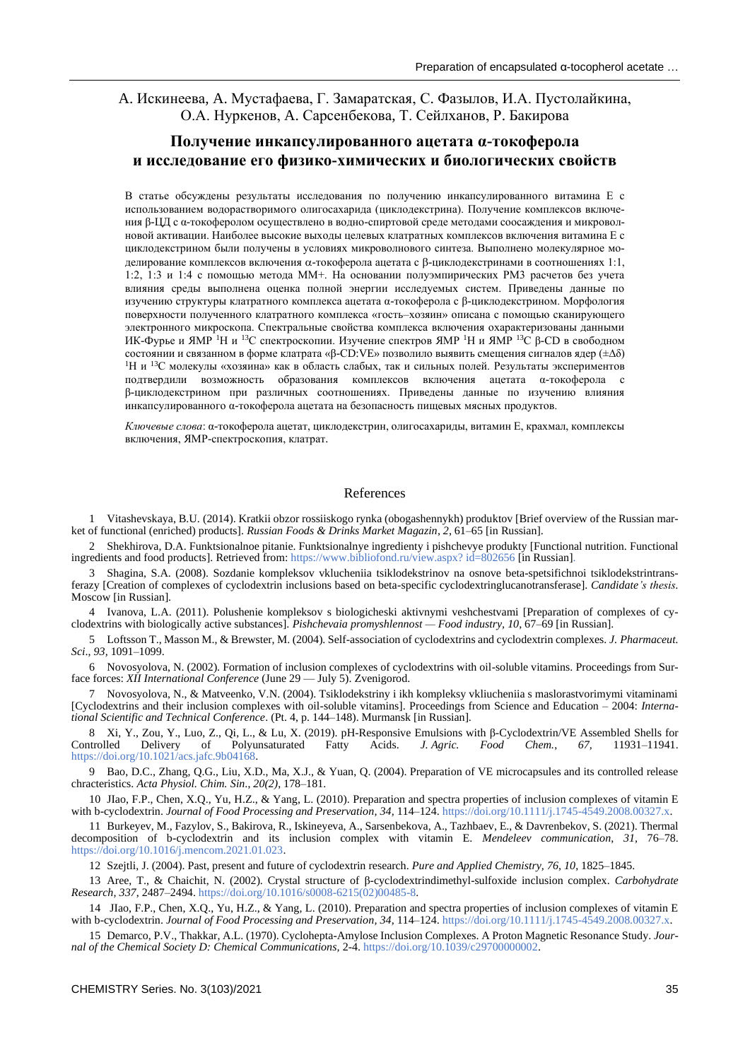A. Искинеева, A. Мустафаева, Г. Замаратская, С. Фазылов, И.А. Пустолайкина, О.А. Нуркенов, A. Сарсенбекова, Т. Сейлханов, Р. Бакирова

# **Получение инкапсулированного ацетата α-токоферола и исследование его физико-химических и биологических свойств**

В статье обсуждены результаты исследования по получению инкапсулированного витамина Е с использованием водорастворимого олигосахарида (циклодекстрина). Получение комплексов включения β-ЦД с α-токоферолом осуществлено в водно-спиртовой среде методами соосаждения и микроволновой активации. Наиболее высокие выходы целевых клатратных комплексов включения витамина Е с циклодекстрином были получены в условиях микроволнового синтеза. Выполнено молекулярное моделирование комплексов включения  $\alpha$ -токоферола ацетата с  $\beta$ -циклодекстринами в соотношениях 1:1, 1:2, 1:3 и 1:4 с помощью метода ММ+. На основании полуэмпирических РМ3 расчетов без учета влияния среды выполнена оценка полной энергии исследуемых систем. Приведены данные по изучению структуры клатратного комплекса ацетата α-токоферола с β-циклодекстрином. Морфология поверхности полученного клатратного комплекса «гость–хозяин» описана с помощью сканирующего электронного микроскопа. Спектральные свойства комплекса включения охарактеризованы данными ИК-Фурье и ЯМР <sup>1</sup>Н и <sup>13</sup>С спектроскопии. Изучение спектров ЯМР <sup>1</sup>Н и ЯМР <sup>13</sup>С β-СD в свободном состоянии и связанном в форме клатрата «β-СD:VE» позволило выявить смещения сигналов ядер (±∆δ) <sup>1</sup>Н и <sup>13</sup>С молекулы «хозяина» как в область слабых, так и сильных полей. Результаты экспериментов подтвердили возможность образования комплексов включения ацетата α-токоферола с β-циклодекстрином при различных соотношениях. Приведены данные по изучению влияния инкапсулированного α-токоферола ацетата на безопасность пищевых мясных продуктов.

*Ключевые слова*: α-токоферола ацетат, циклодекстрин, олигосахариды, витамин Е, крахмал, комплексы включения, ЯМР-спектроскопия, клатрат.

### References

1 Vitashevskaya, B.U. (2014). Kratkii obzor rossiiskogo rynka (obogashennykh) produktov [Brief overview of the Russian market of functional (enriched) products]. *Russian Foods & Drinks Market Magazin*, *2*, 61–65 [in Russian].

2 Shekhirova, D.A. Funktsionalnoe pitanie. Funktsionalnye ingredienty i pishchevye produkty [Functional nutrition. Functional ingredients and food products]. Retrieved from: [https://www.bibliofond.ru/view.aspx?](https://www.bibliofond.ru/view.aspx?id=802656) id=802656 [in Russian].

3 Shagina, S.A. (2008). Sozdanie kompleksov vklucheniia tsiklodekstrinov na osnove beta-spetsifichnoi tsiklodekstrintransferazy [Creation of complexes of cyclodextrin inclusions based on beta-specific cyclodextringlucanotransferase]. *Candidate's thesis.* Moscow [in Russian].

4 Ivanova, L.A. (2011). Polushenie kompleksov s biologicheski aktivnymi veshchestvami [Preparation of complexes of cyclodextrins with biologically active substances]. *Pishchevaia promyshlennost — Food industry, 10*, 67–69 [in Russian].

5 Loftsson T., Masson M., & Brewster, M. (2004). Self-association of cyclodextrins and cyclodextrin complexes. *J. Pharmaceut. Sci*., *93,* 1091–1099.

6 Novosyolova, N. (2002). Formation of inclusion complexes of cyclodextrins with oil-soluble vitamins. Proceedings from Surface forces: *XII International Conference* (June 29 — July 5). Zvenigorod.

7 Novosyolova, N., & Matveenko, V.N. (2004). Tsiklodekstriny i ikh kompleksy vkliucheniia s maslorastvorimymi vitaminami [Cyclodextrins and their inclusion complexes with oil-soluble vitamins]. Proceedings from Science and Education – 2004: *International Scientific and Technical Conference*. (Pt. 4, p. 144–148). Murmansk [in Russian].

8 Xi, Y., Zou, Y., Luo, Z., Qi, L., & Lu, X. (2019). pH-Responsive Emulsions with β-Cyclodextrin/VE Assembled Shells for Delivery of Polyunsaturated Fatty Acids. *J. Agric. Food Chem.*, 67, 11931–11941. [https://doi.org/10.1021/acs.jafc.9b04168.](https://doi.org/10.1021/acs.jafc.9b04168)

9 Bao, D.C., Zhang, Q.G., Liu, X.D., Ma, X.J., & Yuan, Q. (2004). Preparation of VE microcapsules and its controlled release chracteristics. *Acta Physiol. Chim. Sin*., *20(2)*, 178–181.

10 JIao, F.P., Chen, X.Q., Yu, H.Z., & Yang, L. (2010). Preparation and spectra properties of inclusion complexes of vitamin E with b-cyclodextrin. *Journal of Food Processing and Preservation, 34,* 114–124[. https://doi.org/10.1111/j.1745-4549.2008.00327.x.](https://doi.org/10.1111/j.1745-4549.2008.00327.x)

11 Burkeyev, M., Fazylov, S., Bakirova, R., Iskineyeva, A., Sarsenbekova, A., Tazhbaev, E., & Davrenbekov, S. (2021). Thermal decomposition of b-cyclodextrin and its inclusion complex with vitamin E. *Mendeleev communication, 31,* 76–78. [https://doi.org/10.1016/j.mencom.2021.01.023.](https://doi.org/10.1016/j.mencom.2021.01.023)

12 Szejtli, J. (2004). Past, present and future of cyclodextrin research. *Pure and Applied Chemistry, 76, 10*, 1825–1845.

13 Aree, T., & Chaichit, N. (2002). Crystal structure of β-cyclodextrindimethyl-sulfoxide inclusion complex. *Carbohydrate Research, 337*, 2487–2494[. https://doi.org/10.1016/s0008-6215\(02\)00485-8.](https://doi.org/10.1016/s0008-6215(02)00485-8)

14 JIao, F.P., Chen, X.Q., Yu, H.Z., & Yang, L. (2010). Preparation and spectra properties of inclusion complexes of vitamin E with b-cyclodextrin. *Journal of Food Processing and Preservation*, 34, 114–124[. https://doi.org/10.1111/j.1745-4549.2008.00327.x.](https://doi.org/10.1111/j.1745-4549.2008.00327.x)

15 Demarco, P.V., Thakkar, A.L. (1970). Cyclohepta-Amylose Inclusion Complexes. A Proton Magnetic Resonance Study. *Journal of the Chemical Society D: Chemical Communications,* 2-4. [https://doi.org/10.1039/c29700000002.](https://doi.org/10.1039/c29700000002)